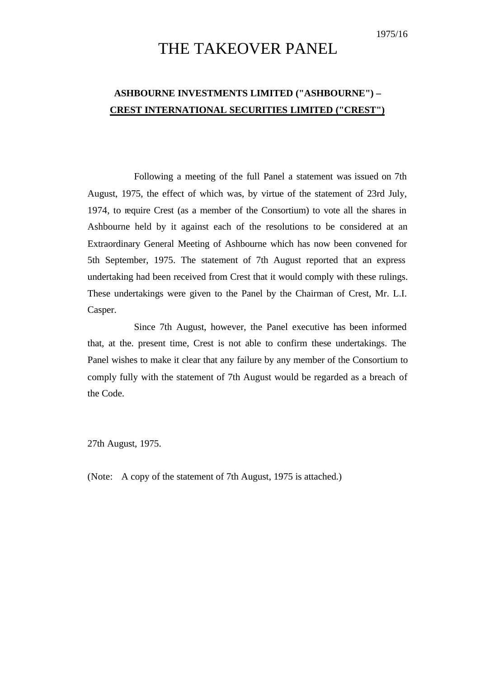# THE TAKEOVER PANEL

## **ASHBOURNE INVESTMENTS LIMITED ("ASHBOURNE") – CREST INTERNATIONAL SECURITIES LIMITED ("CREST")**

Following a meeting of the full Panel a statement was issued on 7th August, 1975, the effect of which was, by virtue of the statement of 23rd July, 1974, to require Crest (as a member of the Consortium) to vote all the shares in Ashbourne held by it against each of the resolutions to be considered at an Extraordinary General Meeting of Ashbourne which has now been convened for 5th September, 1975. The statement of 7th August reported that an express undertaking had been received from Crest that it would comply with these rulings. These undertakings were given to the Panel by the Chairman of Crest, Mr. L.I. Casper.

Since 7th August, however, the Panel executive has been informed that, at the. present time, Crest is not able to confirm these undertakings. The Panel wishes to make it clear that any failure by any member of the Consortium to comply fully with the statement of 7th August would be regarded as a breach of the Code.

27th August, 1975.

(Note: A copy of the statement of 7th August, 1975 is attached.)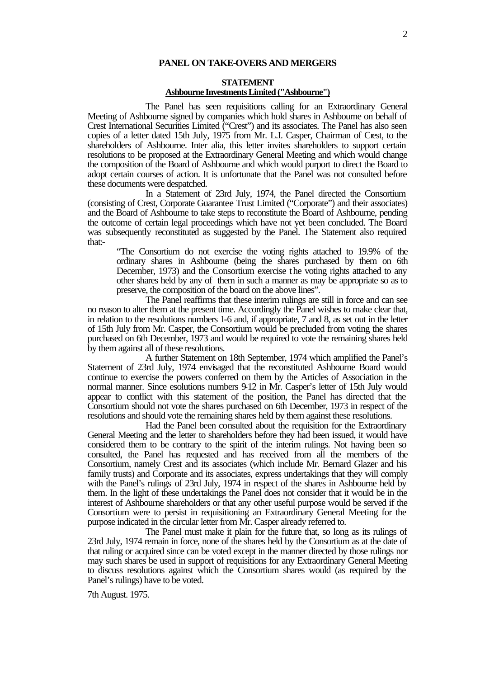#### **PANEL ON TAKE-OVERS AND MERGERS**

### **STATEMENT Ashbourne Investments Limited ("Ashbourne")**

The Panel has seen requisitions calling for an Extraordinary General Meeting of Ashbourne signed by companies which hold shares in Ashbourne on behalf of Crest International Securities Limited ("Crest") and its associates. The Panel has also seen copies of a letter dated 15th July, 1975 from Mr. L.I. Casper, Chairman of Crest, to the shareholders of Ashbourne. Inter alia, this letter invites shareholders to support certain resolutions to be proposed at the Extraordinary General Meeting and which would change the composition of the Board of Ashbourne and which would purport to direct the Board to adopt certain courses of action. It is unfortunate that the Panel was not consulted before these documents were despatched.

In a Statement of 23rd July, 1974, the Panel directed the Consortium (consisting of Crest, Corporate Guarantee Trust Limited ("Corporate") and their associates) and the Board of Ashbourne to take steps to reconstitute the Board of Ashbourne, pending the outcome of certain legal proceedings which have not yet been concluded. The Board was subsequently reconstituted as suggested by the Panel. The Statement also required that:-

"The Consortium do not exercise the voting rights attached to 19.9% of the ordinary shares in Ashbourne (being the shares purchased by them on 6th December, 1973) and the Consortium exercise the voting rights attached to any other shares held by any of them in such a manner as may be appropriate so as to preserve, the composition of the board on the above lines".

The Panel reaffirms that these interim rulings are still in force and can see no reason to alter them at the present time. Accordingly the Panel wishes to make clear that, in relation to the resolutions numbers 1-6 and, if appropriate, 7 and 8, as set out in the letter of 15th July from Mr. Casper, the Consortium would be precluded from voting the shares purchased on 6th December, 1973 and would be required to vote the remaining shares held by them against all of these resolutions.

A further Statement on 18th September, 1974 which amplified the Panel's Statement of 23rd July, 1974 envisaged that the reconstituted Ashbourne Board would continue to exercise the powers conferred on them by the Articles of Association in the normal manner. Since esolutions numbers 9-12 in Mr. Casper's letter of 15th July would appear to conflict with this statement of the position, the Panel has directed that the Consortium should not vote the shares purchased on 6th December, 1973 in respect of the resolutions and should vote the remaining shares held by them against these resolutions.

Had the Panel been consulted about the requisition for the Extraordinary General Meeting and the letter to shareholders before they had been issued, it would have considered them to be contrary to the spirit of the interim rulings. Not having been so consulted, the Panel has requested and has received from all the members of the Consortium, namely Crest and its associates (which include Mr. Bernard Glazer and his family trusts) and Corporate and its associates, express undertakings that they will comply with the Panel's rulings of 23rd July, 1974 in respect of the shares in Ashbourne held by them. In the light of these undertakings the Panel does not consider that it would be in the interest of Ashbourne shareholders or that any other useful purpose would be served if the Consortium were to persist in requisitioning an Extraordinary General Meeting for the purpose indicated in the circular letter from Mr. Casper already referred to.

The Panel must make it plain for the future that, so long as its rulings of 23rd July, 1974 remain in force, none of the shares held by the Consortium as at the date of that ruling or acquired since can be voted except in the manner directed by those rulings nor may such shares be used in support of requisitions for any Extraordinary General Meeting to discuss resolutions against which the Consortium shares would (as required by the Panel's rulings) have to be voted.

7th August. 1975.